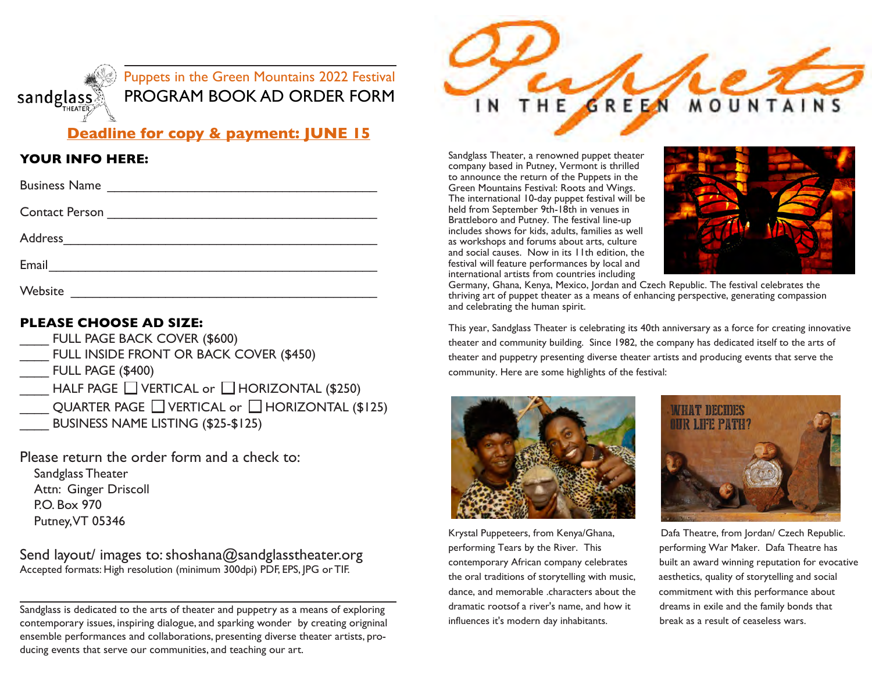

# **Deadline for copy & payment: JUNE 15**

#### **YOUR INFO HERE:**

| <b>Business Name</b> | <u> 1986 - Johann Stein, mars an deutscher Stein (</u>         |  |
|----------------------|----------------------------------------------------------------|--|
|                      |                                                                |  |
|                      |                                                                |  |
| Email                | <u> 1980 - Johann Stein, mars an t-Amerikaansk kommunist (</u> |  |
| Website              |                                                                |  |

### **Please choose Ad size:**

- FULL PAGE BACK COVER (\$600)
- FULL INSIDE FRONT OR BACK COVER (\$450)
- \_\_\_\_ FULL PAGE (\$400)
- HALF PAGE  $\Box$  VERTICAL or  $\Box$  HORIZONTAL (\$250)
- QUARTER PAGE  $\Box$  VERTICAL or  $\Box$  HORIZONTAL (\$125)
- BUSINESS NAME LISTING (\$25-\$125)

Please return the order form and a check to: Sandglass Theater Attn: Ginger Driscoll P.O. Box 970

Putney, VT 05346

Send layout/ images to: shoshana@sandglasstheater.org Accepted formats: High resolution (minimum 300dpi) PDF, EPS, JPG or TIF.

Sandglass is dedicated to the arts of theater and puppetry as a means of exploring contemporary issues, inspiring dialogue, and sparking wonder by creating origninal ensemble performances and collaborations, presenting diverse theater artists, producing events that serve our communities, and teaching our art.



Sandglass Theater, a renowned puppet theater company based in Putney, Vermont is thrilled to announce the return of the Puppets in the Green Mountains Festival: Roots and Wings. The international 10-day puppet festival will be held from September 9th-18th in venues in Brattleboro and Putney. The festival line-up includes shows for kids, adults, families as well as workshops and forums about arts, culture and social causes. Now in its 11th edition, the festival will feature performances by local and international artists from countries including



Germany, Ghana, Kenya, Mexico, Jordan and Czech Republic. The festival celebrates the thriving art of puppet theater as a means of enhancing perspective, generating compassion and celebrating the human spirit.

This year, Sandglass Theater is celebrating its 40th anniversary as a force for creating innovative theater and community building. Since 1982, the company has dedicated itself to the arts of theater and puppetry presenting diverse theater artists and producing events that serve the community. Here are some highlights of the festival:



performing Tears by the River. This performing War Maker. Dafa Theatre has the oral traditions of storytelling with music, aesthetics, quality of storytelling and social dance, and memorable .characters about the commitment with this performance about dramatic rootsof a river's name, and how it dreams in exile and the family bonds that influences it's modern day inhabitants. break as a result of ceaseless wars.



Krystal Puppeteers, from Kenya/Ghana, Dafa Theatre, from Jordan/ Czech Republic. contemporary African company celebrates built an award winning reputation for evocative